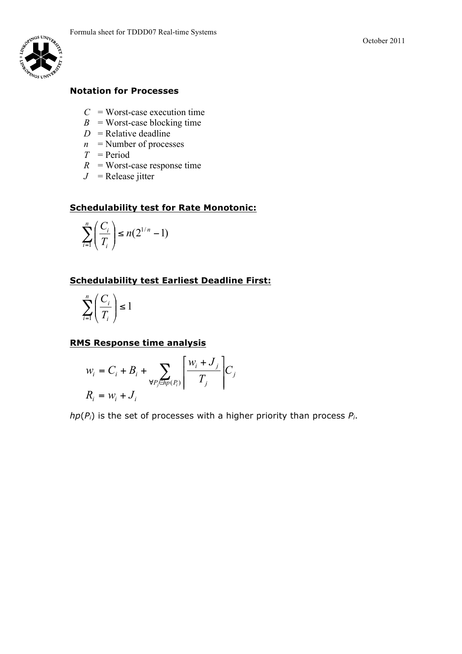

# **Notation for Processes**

- $C =$  Worst-case execution time
- $B =$  Worst-case blocking time
- $D =$  Relative deadline
- $n$  = Number of processes
- $T = Period$
- $R$  = Worst-case response time
- $J =$  Release jitter

#### **Schedulability test for Rate Monotonic:**

$$
\sum_{i=1}^n \left(\frac{C_i}{T_i}\right) \le n(2^{1/n}-1)
$$

## **Schedulability test Earliest Deadline First:**

$$
\sum_{i=1}^n \left(\frac{C_i}{T_i}\right) \le 1
$$

#### **RMS Response time analysis**

$$
w_i = C_i + B_i + \sum_{\forall P_j \in \text{App}(P_i)} \left[ \frac{w_i + J_j}{T_j} \right] C_j
$$
  

$$
R_i = w_i + J_i
$$

*hp*(*Pi*) is the set of processes with a higher priority than process *Pi*.